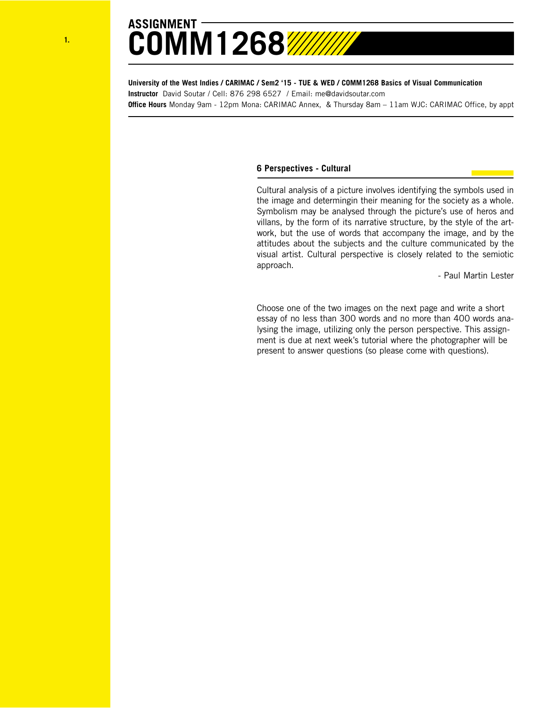

## **ASSIGNMENT COMM1268**

**University of the West Indies / CARIMAC / Sem2 '15 - TUE & WED / COMM1268 Basics of Visual Communication Instructor** David Soutar / Cell: 876 298 6527 / Email: me@davidsoutar.com **Office Hours** Monday 9am - 12pm Mona: CARIMAC Annex, & Thursday 8am – 11am WJC: CARIMAC Office, by appt

## **6 Perspectives - Cultural**

Cultural analysis of a picture involves identifying the symbols used in the image and determingin their meaning for the society as a whole. Symbolism may be analysed through the picture's use of heros and villans, by the form of its narrative structure, by the style of the artwork, but the use of words that accompany the image, and by the attitudes about the subjects and the culture communicated by the visual artist. Cultural perspective is closely related to the semiotic approach.

- Paul Martin Lester

Choose one of the two images on the next page and write a short essay of no less than 300 words and no more than 400 words analysing the image, utilizing only the person perspective. This assignment is due at next week's tutorial where the photographer will be present to answer questions (so please come with questions).